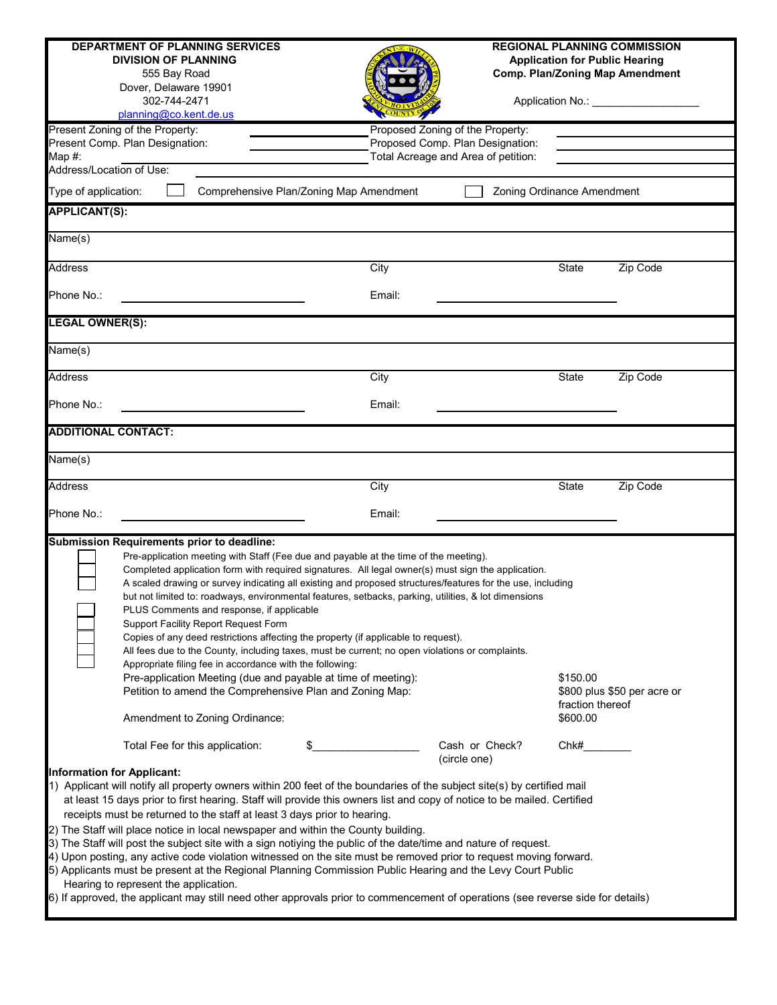|                                                                                                                                                                                                                                                                                                                                                                                                                                                                                                                                                                                                                                                                                                                                                                                                                                                                                                                                                                                                                                                    | <b>DEPARTMENT OF PLANNING SERVICES</b><br><b>DIVISION OF PLANNING</b><br>555 Bay Road<br>Dover, Delaware 19901<br>302-744-2471<br>planning@co.kent.de.us                                                                                                                                                                                                                                                                                                                                                                                                                                                                                                                                                                                                                                                                                                                                                                                              |                                                                                                             |                                | <b>REGIONAL PLANNING COMMISSION</b><br><b>Application for Public Hearing</b><br><b>Comp. Plan/Zoning Map Amendment</b><br>Application No.: __________________ |          |  |  |
|----------------------------------------------------------------------------------------------------------------------------------------------------------------------------------------------------------------------------------------------------------------------------------------------------------------------------------------------------------------------------------------------------------------------------------------------------------------------------------------------------------------------------------------------------------------------------------------------------------------------------------------------------------------------------------------------------------------------------------------------------------------------------------------------------------------------------------------------------------------------------------------------------------------------------------------------------------------------------------------------------------------------------------------------------|-------------------------------------------------------------------------------------------------------------------------------------------------------------------------------------------------------------------------------------------------------------------------------------------------------------------------------------------------------------------------------------------------------------------------------------------------------------------------------------------------------------------------------------------------------------------------------------------------------------------------------------------------------------------------------------------------------------------------------------------------------------------------------------------------------------------------------------------------------------------------------------------------------------------------------------------------------|-------------------------------------------------------------------------------------------------------------|--------------------------------|---------------------------------------------------------------------------------------------------------------------------------------------------------------|----------|--|--|
| Map $#$ :<br>Address/Location of Use:                                                                                                                                                                                                                                                                                                                                                                                                                                                                                                                                                                                                                                                                                                                                                                                                                                                                                                                                                                                                              | Present Zoning of the Property:<br>Present Comp. Plan Designation:                                                                                                                                                                                                                                                                                                                                                                                                                                                                                                                                                                                                                                                                                                                                                                                                                                                                                    | Proposed Zoning of the Property:<br>Proposed Comp. Plan Designation:<br>Total Acreage and Area of petition: |                                |                                                                                                                                                               |          |  |  |
| Type of application:                                                                                                                                                                                                                                                                                                                                                                                                                                                                                                                                                                                                                                                                                                                                                                                                                                                                                                                                                                                                                               |                                                                                                                                                                                                                                                                                                                                                                                                                                                                                                                                                                                                                                                                                                                                                                                                                                                                                                                                                       | Comprehensive Plan/Zoning Map Amendment                                                                     | Zoning Ordinance Amendment     |                                                                                                                                                               |          |  |  |
| <b>APPLICANT(S):</b>                                                                                                                                                                                                                                                                                                                                                                                                                                                                                                                                                                                                                                                                                                                                                                                                                                                                                                                                                                                                                               |                                                                                                                                                                                                                                                                                                                                                                                                                                                                                                                                                                                                                                                                                                                                                                                                                                                                                                                                                       |                                                                                                             |                                |                                                                                                                                                               |          |  |  |
| Name(s)                                                                                                                                                                                                                                                                                                                                                                                                                                                                                                                                                                                                                                                                                                                                                                                                                                                                                                                                                                                                                                            |                                                                                                                                                                                                                                                                                                                                                                                                                                                                                                                                                                                                                                                                                                                                                                                                                                                                                                                                                       |                                                                                                             |                                |                                                                                                                                                               |          |  |  |
| <b>Address</b>                                                                                                                                                                                                                                                                                                                                                                                                                                                                                                                                                                                                                                                                                                                                                                                                                                                                                                                                                                                                                                     |                                                                                                                                                                                                                                                                                                                                                                                                                                                                                                                                                                                                                                                                                                                                                                                                                                                                                                                                                       | City                                                                                                        |                                | State                                                                                                                                                         | Zip Code |  |  |
| Phone No.:                                                                                                                                                                                                                                                                                                                                                                                                                                                                                                                                                                                                                                                                                                                                                                                                                                                                                                                                                                                                                                         |                                                                                                                                                                                                                                                                                                                                                                                                                                                                                                                                                                                                                                                                                                                                                                                                                                                                                                                                                       | Email:                                                                                                      |                                |                                                                                                                                                               |          |  |  |
| <b>LEGAL OWNER(S):</b>                                                                                                                                                                                                                                                                                                                                                                                                                                                                                                                                                                                                                                                                                                                                                                                                                                                                                                                                                                                                                             |                                                                                                                                                                                                                                                                                                                                                                                                                                                                                                                                                                                                                                                                                                                                                                                                                                                                                                                                                       |                                                                                                             |                                |                                                                                                                                                               |          |  |  |
| $\overline{\mathsf{Name}}(s)$                                                                                                                                                                                                                                                                                                                                                                                                                                                                                                                                                                                                                                                                                                                                                                                                                                                                                                                                                                                                                      |                                                                                                                                                                                                                                                                                                                                                                                                                                                                                                                                                                                                                                                                                                                                                                                                                                                                                                                                                       |                                                                                                             |                                |                                                                                                                                                               |          |  |  |
| <b>Address</b>                                                                                                                                                                                                                                                                                                                                                                                                                                                                                                                                                                                                                                                                                                                                                                                                                                                                                                                                                                                                                                     |                                                                                                                                                                                                                                                                                                                                                                                                                                                                                                                                                                                                                                                                                                                                                                                                                                                                                                                                                       | City                                                                                                        |                                | <b>State</b>                                                                                                                                                  | Zip Code |  |  |
| Phone No.:                                                                                                                                                                                                                                                                                                                                                                                                                                                                                                                                                                                                                                                                                                                                                                                                                                                                                                                                                                                                                                         |                                                                                                                                                                                                                                                                                                                                                                                                                                                                                                                                                                                                                                                                                                                                                                                                                                                                                                                                                       | Email:                                                                                                      |                                |                                                                                                                                                               |          |  |  |
| <b>ADDITIONAL CONTACT:</b>                                                                                                                                                                                                                                                                                                                                                                                                                                                                                                                                                                                                                                                                                                                                                                                                                                                                                                                                                                                                                         |                                                                                                                                                                                                                                                                                                                                                                                                                                                                                                                                                                                                                                                                                                                                                                                                                                                                                                                                                       |                                                                                                             |                                |                                                                                                                                                               |          |  |  |
| Name(s)                                                                                                                                                                                                                                                                                                                                                                                                                                                                                                                                                                                                                                                                                                                                                                                                                                                                                                                                                                                                                                            |                                                                                                                                                                                                                                                                                                                                                                                                                                                                                                                                                                                                                                                                                                                                                                                                                                                                                                                                                       |                                                                                                             |                                |                                                                                                                                                               |          |  |  |
| <b>Address</b>                                                                                                                                                                                                                                                                                                                                                                                                                                                                                                                                                                                                                                                                                                                                                                                                                                                                                                                                                                                                                                     |                                                                                                                                                                                                                                                                                                                                                                                                                                                                                                                                                                                                                                                                                                                                                                                                                                                                                                                                                       | City                                                                                                        |                                | State                                                                                                                                                         | Zip Code |  |  |
| Phone No.:                                                                                                                                                                                                                                                                                                                                                                                                                                                                                                                                                                                                                                                                                                                                                                                                                                                                                                                                                                                                                                         |                                                                                                                                                                                                                                                                                                                                                                                                                                                                                                                                                                                                                                                                                                                                                                                                                                                                                                                                                       | Email:                                                                                                      |                                |                                                                                                                                                               |          |  |  |
| Submission Requirements prior to deadline:<br>Pre-application meeting with Staff (Fee due and payable at the time of the meeting).<br>Completed application form with required signatures. All legal owner(s) must sign the application.<br>A scaled drawing or survey indicating all existing and proposed structures/features for the use, including<br>but not limited to: roadways, environmental features, setbacks, parking, utilities, & lot dimensions<br>PLUS Comments and response, if applicable<br>Support Facility Report Request Form<br>Copies of any deed restrictions affecting the property (if applicable to request).<br>All fees due to the County, including taxes, must be current; no open violations or complaints.<br>Appropriate filing fee in accordance with the following:<br>Pre-application Meeting (due and payable at time of meeting):<br>\$150.00<br>Petition to amend the Comprehensive Plan and Zoning Map:<br>\$800 plus \$50 per acre or<br>fraction thereof<br>\$600.00<br>Amendment to Zoning Ordinance: |                                                                                                                                                                                                                                                                                                                                                                                                                                                                                                                                                                                                                                                                                                                                                                                                                                                                                                                                                       |                                                                                                             |                                |                                                                                                                                                               |          |  |  |
|                                                                                                                                                                                                                                                                                                                                                                                                                                                                                                                                                                                                                                                                                                                                                                                                                                                                                                                                                                                                                                                    | Total Fee for this application:                                                                                                                                                                                                                                                                                                                                                                                                                                                                                                                                                                                                                                                                                                                                                                                                                                                                                                                       | \$                                                                                                          | Cash or Check?<br>(circle one) | Chk#                                                                                                                                                          |          |  |  |
| <b>Information for Applicant:</b>                                                                                                                                                                                                                                                                                                                                                                                                                                                                                                                                                                                                                                                                                                                                                                                                                                                                                                                                                                                                                  | 1) Applicant will notify all property owners within 200 feet of the boundaries of the subject site(s) by certified mail<br>at least 15 days prior to first hearing. Staff will provide this owners list and copy of notice to be mailed. Certified<br>receipts must be returned to the staff at least 3 days prior to hearing.<br>2) The Staff will place notice in local newspaper and within the County building.<br>3) The Staff will post the subject site with a sign notiying the public of the date/time and nature of request.<br>4) Upon posting, any active code violation witnessed on the site must be removed prior to request moving forward.<br>5) Applicants must be present at the Regional Planning Commission Public Hearing and the Levy Court Public<br>Hearing to represent the application.<br>6) If approved, the applicant may still need other approvals prior to commencement of operations (see reverse side for details) |                                                                                                             |                                |                                                                                                                                                               |          |  |  |